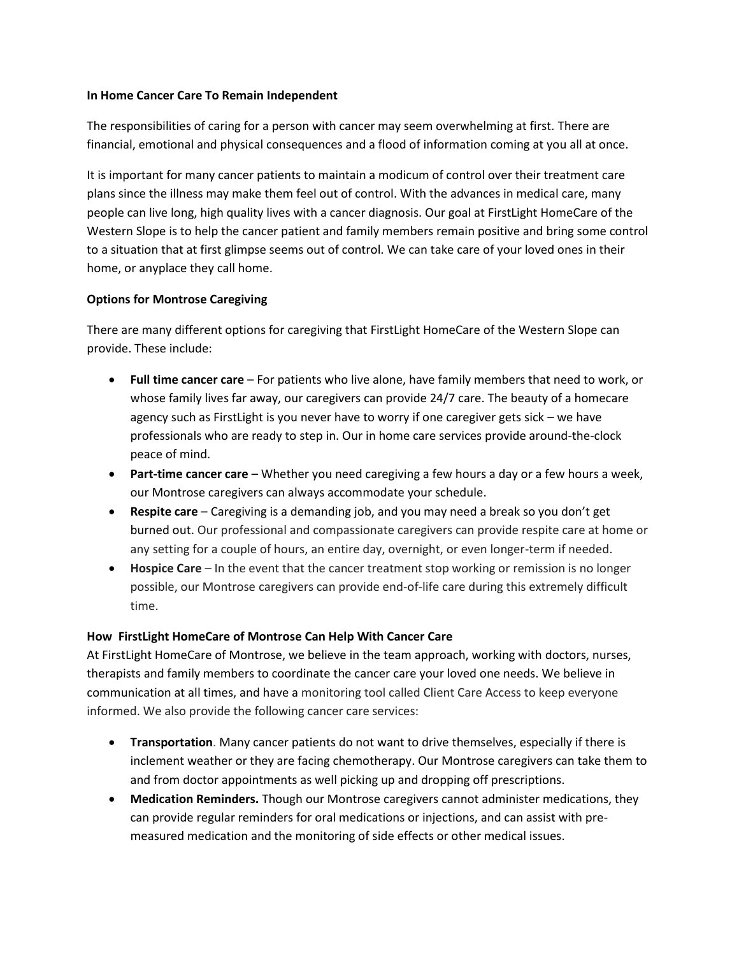## **In Home Cancer Care To Remain Independent**

The responsibilities of caring for a person with cancer may seem overwhelming at first. There are financial, emotional and physical consequences and a flood of information coming at you all at once.

It is important for many cancer patients to maintain a modicum of control over their treatment care plans since the illness may make them feel out of control. With the advances in medical care, many people can live long, high quality lives with a cancer diagnosis. Our goal at FirstLight HomeCare of the Western Slope is to help the cancer patient and family members remain positive and bring some control to a situation that at first glimpse seems out of control. We can take care of your loved ones in their home, or anyplace they call home.

## **Options for Montrose Caregiving**

There are many different options for caregiving that FirstLight HomeCare of the Western Slope can provide. These include:

- **Full time cancer care** For patients who live alone, have family members that need to work, or whose family lives far away, our caregivers can provide 24/7 care. The beauty of a homecare agency such as FirstLight is you never have to worry if one caregiver gets sick – we have professionals who are ready to step in. Our in home care services provide around-the-clock peace of mind.
- **Part-time cancer care** Whether you need caregiving a few hours a day or a few hours a week, our Montrose caregivers can always accommodate your schedule.
- **Respite care** Caregiving is a demanding job, and you may need a break so you don't get burned out. Our professional and compassionate caregivers can provide respite care at home or any setting for a couple of hours, an entire day, overnight, or even longer-term if needed.
- **Hospice Care** In the event that the cancer treatment stop working or remission is no longer possible, our Montrose caregivers can provide end-of-life care during this extremely difficult time.

## **How FirstLight HomeCare of Montrose Can Help With Cancer Care**

At FirstLight HomeCare of Montrose, we believe in the team approach, working with doctors, nurses, therapists and family members to coordinate the cancer care your loved one needs. We believe in communication at all times, and have a monitoring tool called Client Care Access to keep everyone informed. We also provide the following cancer care services:

- **Transportation**. Many cancer patients do not want to drive themselves, especially if there is inclement weather or they are facing chemotherapy. Our Montrose caregivers can take them to and from doctor appointments as well picking up and dropping off prescriptions.
- **Medication Reminders.** Though our Montrose caregivers cannot administer medications, they can provide regular reminders for oral medications or injections, and can assist with premeasured medication and the monitoring of side effects or other medical issues.